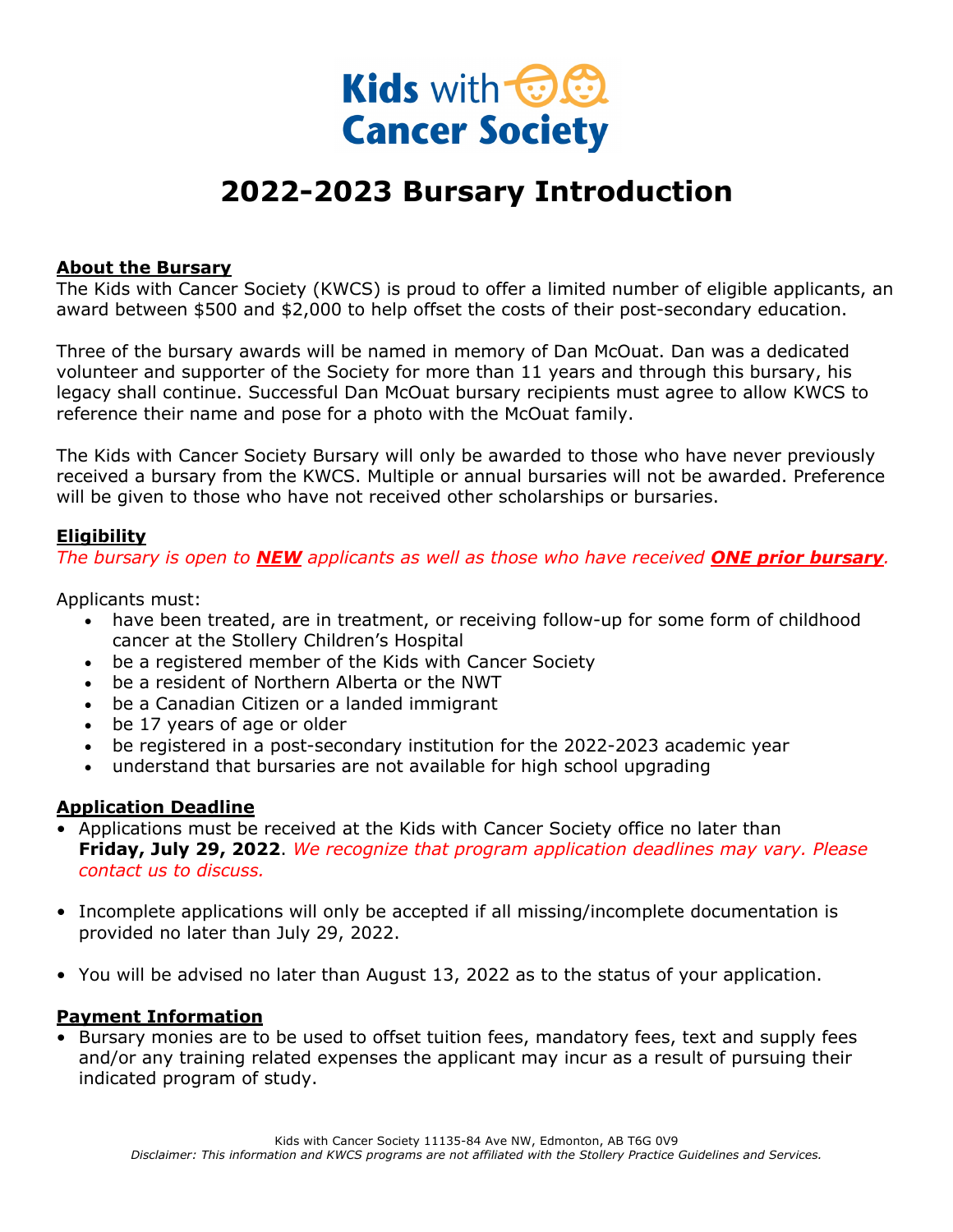

## **2022-2023 Bursary Introduction**

#### **About the Bursary**

The Kids with Cancer Society (KWCS) is proud to offer a limited number of eligible applicants, an award between \$500 and \$2,000 to help offset the costs of their post-secondary education.

Three of the bursary awards will be named in memory of Dan McOuat. Dan was a dedicated volunteer and supporter of the Society for more than 11 years and through this bursary, his legacy shall continue. Successful Dan McOuat bursary recipients must agree to allow KWCS to reference their name and pose for a photo with the McOuat family.

The Kids with Cancer Society Bursary will only be awarded to those who have never previously received a bursary from the KWCS. Multiple or annual bursaries will not be awarded. Preference will be given to those who have not received other scholarships or bursaries.

#### **Eligibility**

*The bursary is open to NEW applicants as well as those who have received ONE prior bursary.*

Applicants must:

- have been treated, are in treatment, or receiving follow-up for some form of childhood cancer at the Stollery Children's Hospital
- be a registered member of the Kids with Cancer Society
- be a resident of Northern Alberta or the NWT
- be a Canadian Citizen or a landed immigrant
- be 17 years of age or older
- be registered in a post-secondary institution for the 2022-2023 academic year
- understand that bursaries are not available for high school upgrading

#### **Application Deadline**

- Applications must be received at the Kids with Cancer Society office no later than **Friday, July 29, 2022**. *We recognize that program application deadlines may vary. Please contact us to discuss.*
- Incomplete applications will only be accepted if all missing/incomplete documentation is provided no later than July 29, 2022.
- You will be advised no later than August 13, 2022 as to the status of your application.

#### **Payment Information**

• Bursary monies are to be used to offset tuition fees, mandatory fees, text and supply fees and/or any training related expenses the applicant may incur as a result of pursuing their indicated program of study.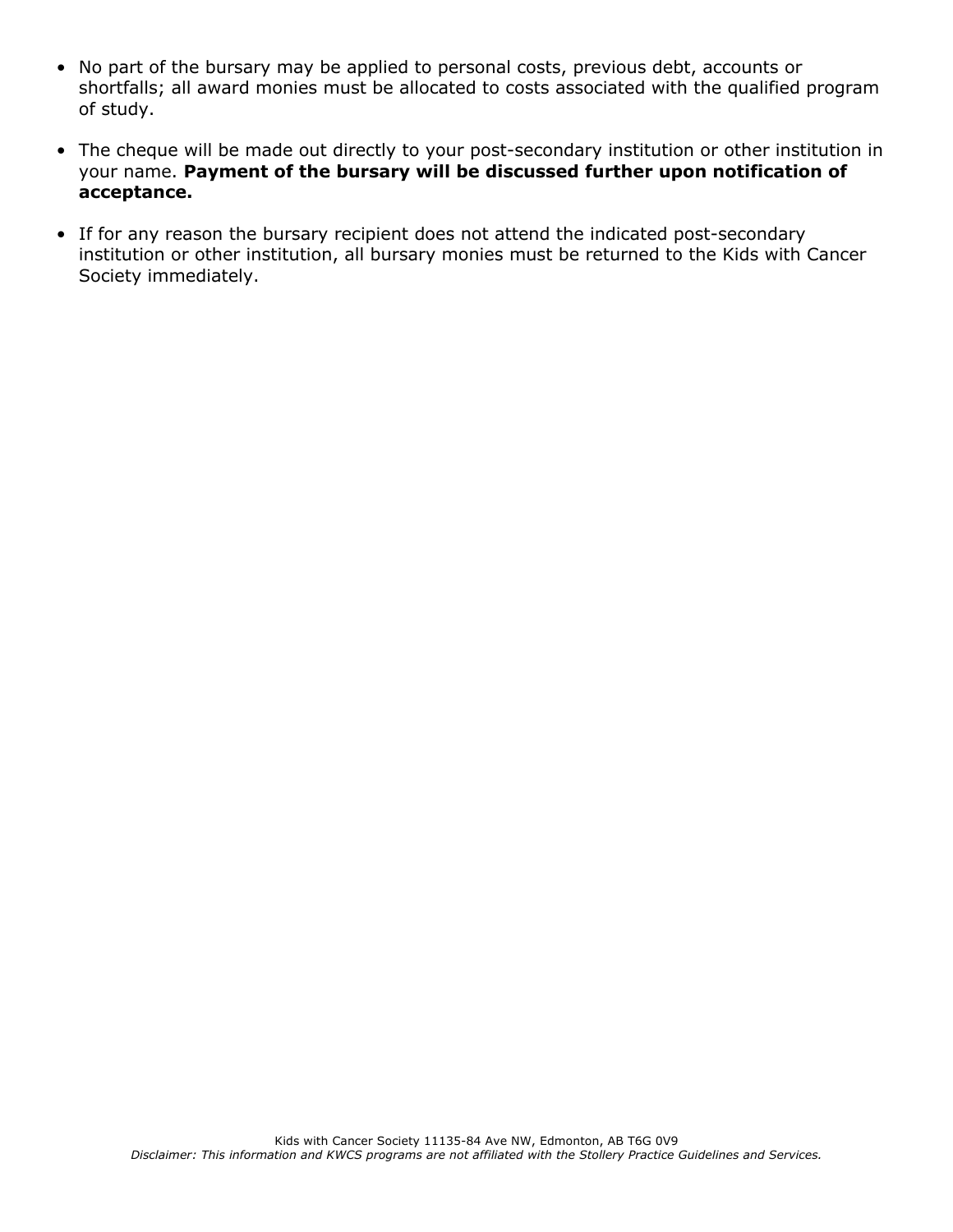- No part of the bursary may be applied to personal costs, previous debt, accounts or shortfalls; all award monies must be allocated to costs associated with the qualified program of study.
- The cheque will be made out directly to your post-secondary institution or other institution in your name. **Payment of the bursary will be discussed further upon notification of acceptance.**
- If for any reason the bursary recipient does not attend the indicated post-secondary institution or other institution, all bursary monies must be returned to the Kids with Cancer Society immediately.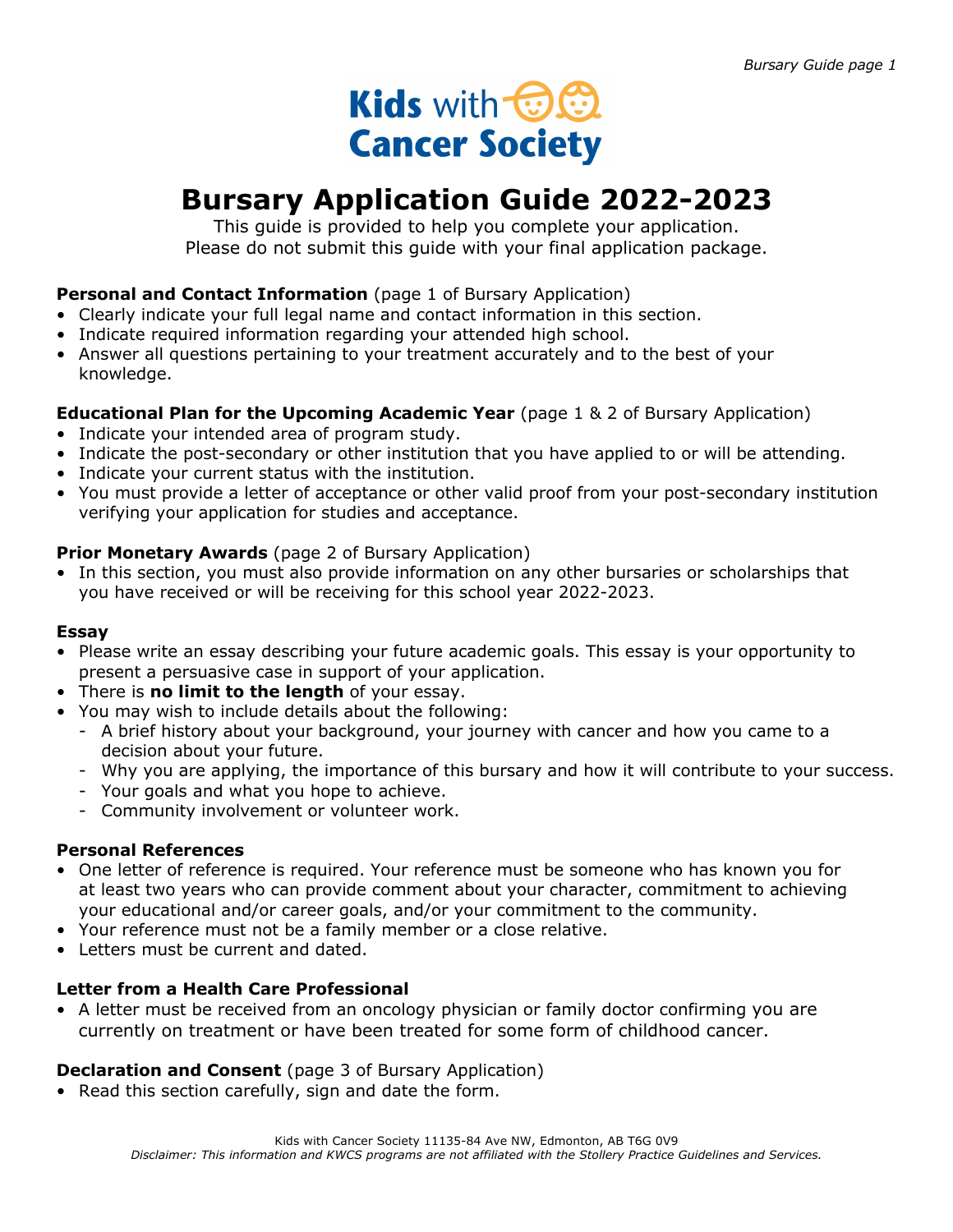## Kids with **the State Cancer Society**

## **Bursary Application Guide 2022-2023**

This guide is provided to help you complete your application. Please do not submit this guide with your final application package.

#### **Personal and Contact Information** (page 1 of Bursary Application)

- Clearly indicate your full legal name and contact information in this section.
- Indicate required information regarding your attended high school.
- Answer all questions pertaining to your treatment accurately and to the best of your knowledge.

#### **Educational Plan for the Upcoming Academic Year** (page 1 & 2 of Bursary Application)

- Indicate your intended area of program study.
- Indicate the post-secondary or other institution that you have applied to or will be attending.
- Indicate your current status with the institution.
- You must provide a letter of acceptance or other valid proof from your post-secondary institution verifying your application for studies and acceptance.

#### **Prior Monetary Awards** (page 2 of Bursary Application)

• In this section, you must also provide information on any other bursaries or scholarships that you have received or will be receiving for this school year 2022-2023.

#### **Essay**

- Please write an essay describing your future academic goals. This essay is your opportunity to present a persuasive case in support of your application.
- There is **no limit to the length** of your essay.
- You may wish to include details about the following:
	- A brief history about your background, your journey with cancer and how you came to a decision about your future.
	- Why you are applying, the importance of this bursary and how it will contribute to your success.
	- Your goals and what you hope to achieve.
	- Community involvement or volunteer work.

#### **Personal References**

- One letter of reference is required. Your reference must be someone who has known you for at least two years who can provide comment about your character, commitment to achieving your educational and/or career goals, and/or your commitment to the community.
- Your reference must not be a family member or a close relative.
- Letters must be current and dated.

#### **Letter from a Health Care Professional**

• A letter must be received from an oncology physician or family doctor confirming you are currently on treatment or have been treated for some form of childhood cancer.

#### **Declaration and Consent** (page 3 of Bursary Application)

• Read this section carefully, sign and date the form.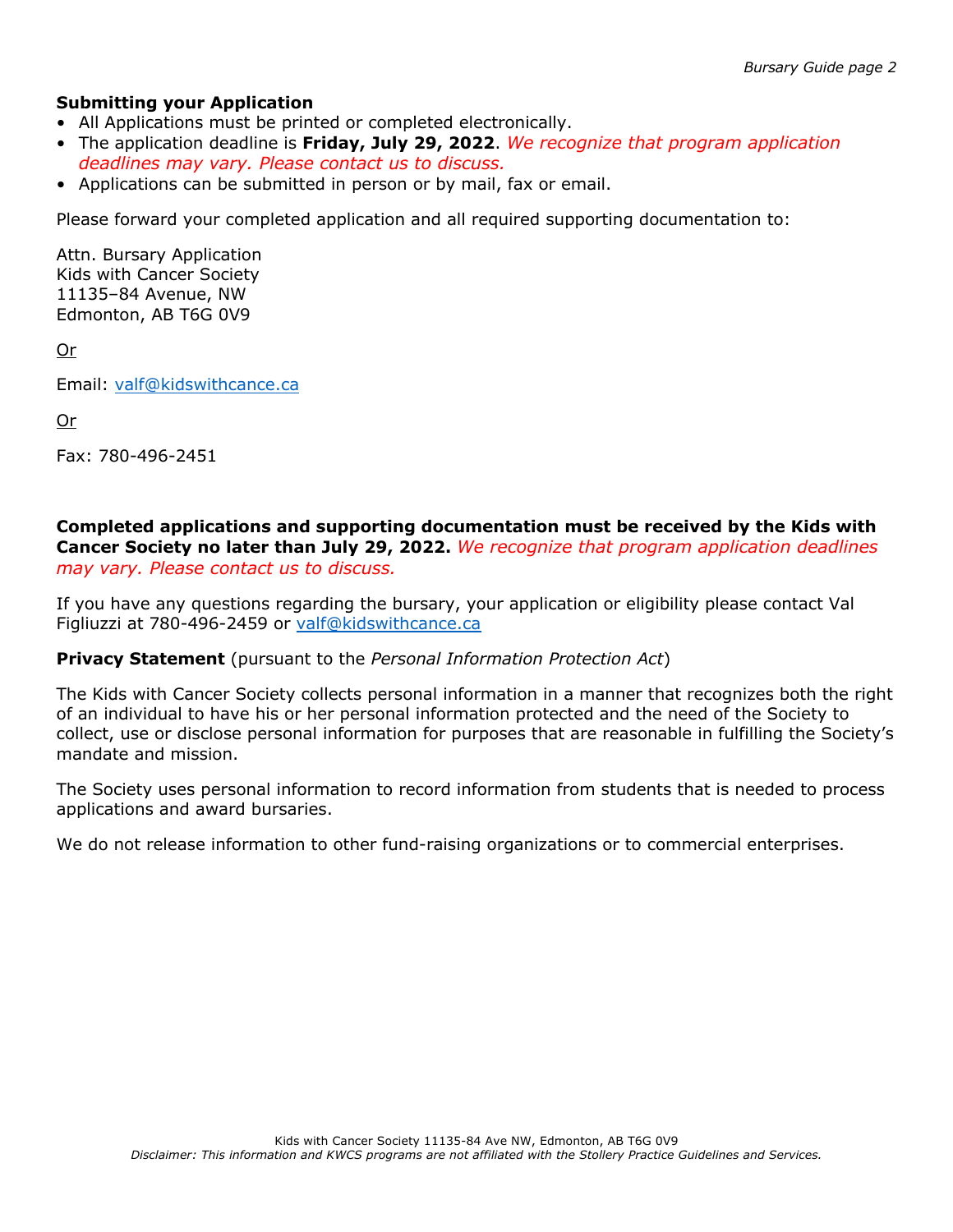#### **Submitting your Application**

- All Applications must be printed or completed electronically.
- The application deadline is **Friday, July 29, 2022**. *We recognize that program application deadlines may vary. Please contact us to discuss.*
- Applications can be submitted in person or by mail, fax or email.

Please forward your completed application and all required supporting documentation to:

Attn. Bursary Application Kids with Cancer Society 11135–84 Avenue, NW Edmonton, AB T6G 0V9

Or

Email: valf@kidswithcance.ca

Or

Fax: 780-496-2451

**Completed applications and supporting documentation must be received by the Kids with Cancer Society no later than July 29, 2022.** *We recognize that program application deadlines may vary. Please contact us to discuss.*

If you have any questions regarding the bursary, your application or eligibility please contact Val Figliuzzi at 780-496-2459 or valf@kidswithcance.ca

#### **Privacy Statement** (pursuant to the *Personal Information Protection Act*)

The Kids with Cancer Society collects personal information in a manner that recognizes both the right of an individual to have his or her personal information protected and the need of the Society to collect, use or disclose personal information for purposes that are reasonable in fulfilling the Society's mandate and mission.

The Society uses personal information to record information from students that is needed to process applications and award bursaries.

We do not release information to other fund-raising organizations or to commercial enterprises.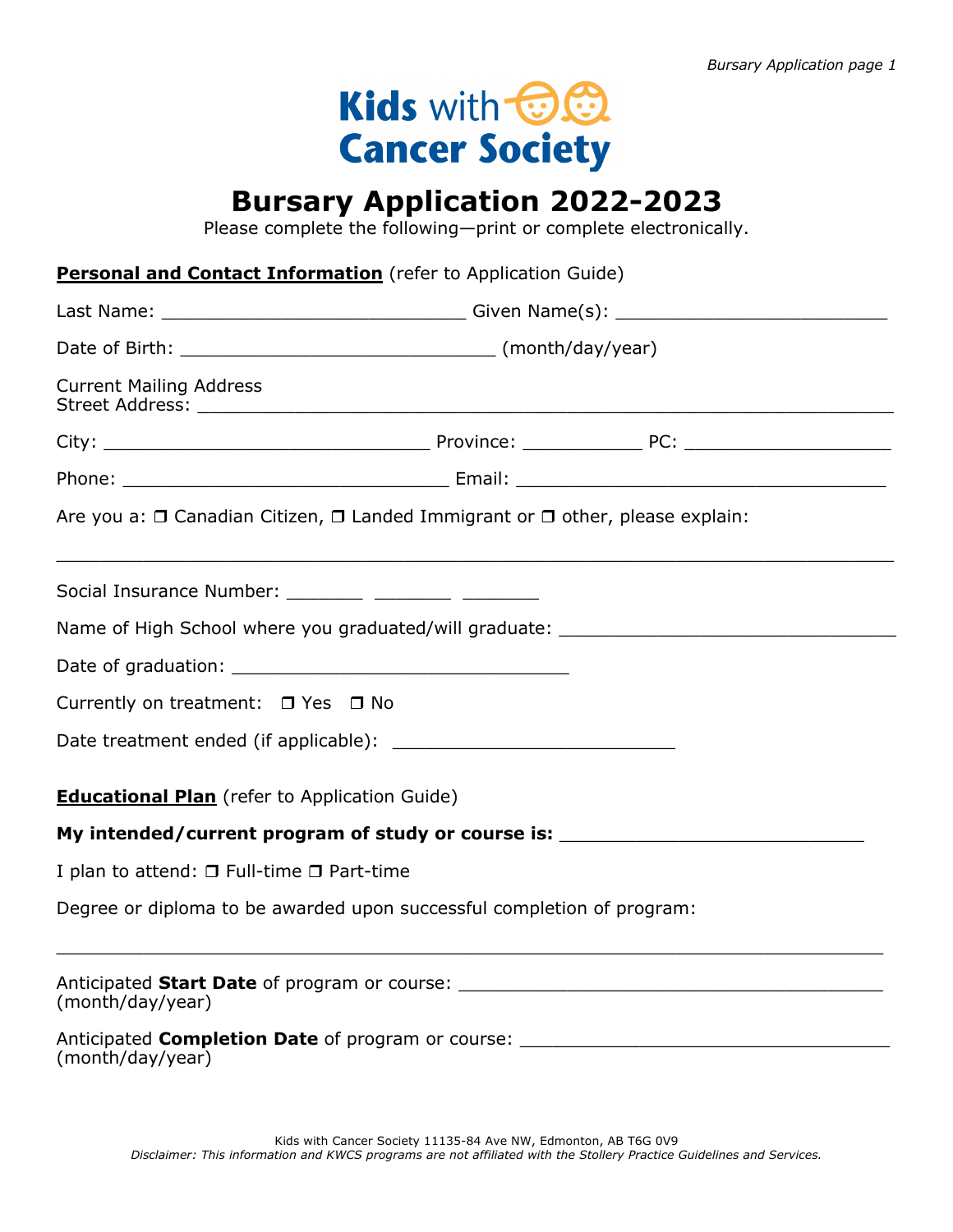# Kids with **OO Cancer Society**

## **Bursary Application 2022-2023**

Please complete the following—print or complete electronically.

|                                                      | <b>Personal and Contact Information</b> (refer to Application Guide)                         |  |
|------------------------------------------------------|----------------------------------------------------------------------------------------------|--|
|                                                      |                                                                                              |  |
|                                                      |                                                                                              |  |
| <b>Current Mailing Address</b>                       |                                                                                              |  |
|                                                      |                                                                                              |  |
|                                                      |                                                                                              |  |
|                                                      | Are you a: $\Box$ Canadian Citizen, $\Box$ Landed Immigrant or $\Box$ other, please explain: |  |
|                                                      | Social Insurance Number: __________ _________ _________                                      |  |
|                                                      | Name of High School where you graduated/will graduate: _________________________             |  |
|                                                      |                                                                                              |  |
| Currently on treatment: $\Box$ Yes $\Box$ No         |                                                                                              |  |
|                                                      |                                                                                              |  |
| <b>Educational Plan</b> (refer to Application Guide) |                                                                                              |  |
|                                                      | My intended/current program of study or course is:                                           |  |
| I plan to attend: □ Full-time □ Part-time            |                                                                                              |  |
|                                                      | Degree or diploma to be awarded upon successful completion of program:                       |  |
| (month/day/year)                                     | Anticipated Start Date of program or course:                                                 |  |
|                                                      | Anticipated Completion Date of program or course: ______________________________             |  |

(month/day/year)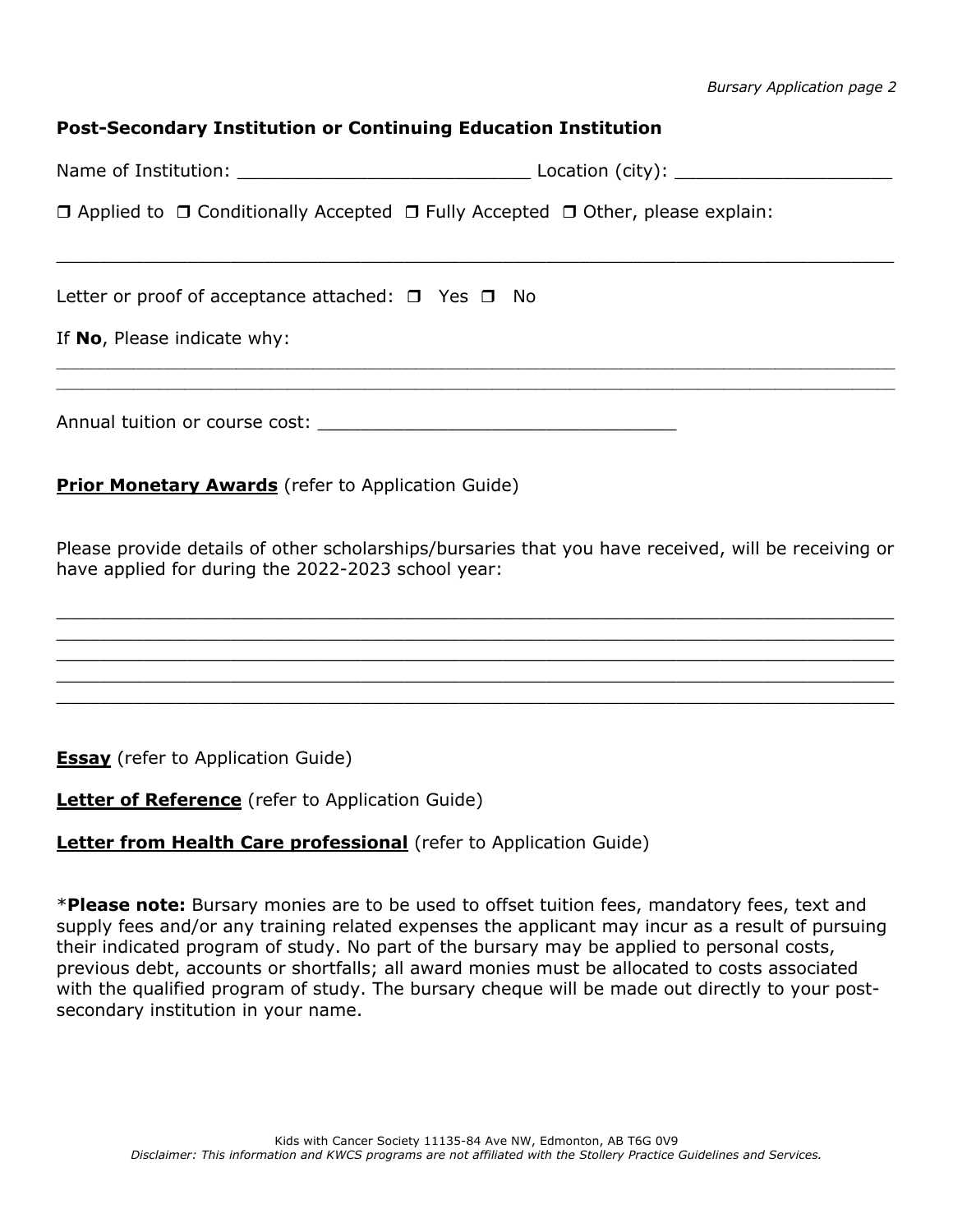*Bursary Application page 2*

#### **Post-Secondary Institution or Continuing Education Institution**

Name of Institution: \_\_\_\_\_\_\_\_\_\_\_\_\_\_\_\_\_\_\_\_\_\_\_\_\_\_\_ Location (city): \_\_\_\_\_\_\_\_\_\_\_\_\_\_\_\_\_\_\_\_

 $\_$  , and the contribution of the contribution of the contribution of the contribution of  $\mathcal{L}_\mathcal{A}$ 

 $\mathcal{L}_\mathcal{L} = \mathcal{L}_\mathcal{L} = \mathcal{L}_\mathcal{L} = \mathcal{L}_\mathcal{L} = \mathcal{L}_\mathcal{L} = \mathcal{L}_\mathcal{L} = \mathcal{L}_\mathcal{L} = \mathcal{L}_\mathcal{L} = \mathcal{L}_\mathcal{L} = \mathcal{L}_\mathcal{L} = \mathcal{L}_\mathcal{L} = \mathcal{L}_\mathcal{L} = \mathcal{L}_\mathcal{L} = \mathcal{L}_\mathcal{L} = \mathcal{L}_\mathcal{L} = \mathcal{L}_\mathcal{L} = \mathcal{L}_\mathcal{L}$  $\mathcal{L}_\mathcal{L} = \mathcal{L}_\mathcal{L} = \mathcal{L}_\mathcal{L} = \mathcal{L}_\mathcal{L} = \mathcal{L}_\mathcal{L} = \mathcal{L}_\mathcal{L} = \mathcal{L}_\mathcal{L} = \mathcal{L}_\mathcal{L} = \mathcal{L}_\mathcal{L} = \mathcal{L}_\mathcal{L} = \mathcal{L}_\mathcal{L} = \mathcal{L}_\mathcal{L} = \mathcal{L}_\mathcal{L} = \mathcal{L}_\mathcal{L} = \mathcal{L}_\mathcal{L} = \mathcal{L}_\mathcal{L} = \mathcal{L}_\mathcal{L}$ 

 $\Box$  Applied to  $\Box$  Conditionally Accepted  $\Box$  Fully Accepted  $\Box$  Other, please explain:

Letter or proof of acceptance attached:  $\Box$  Yes  $\Box$  No

If **No**, Please indicate why:

Annual tuition or course cost:

#### **Prior Monetary Awards** (refer to Application Guide)

Please provide details of other scholarships/bursaries that you have received, will be receiving or have applied for during the 2022-2023 school year:

 $\_$  , and the contribution of the contribution of the contribution of the contribution of  $\mathcal{L}_\mathcal{A}$  $\_$  , and the contribution of the contribution of the contribution of the contribution of  $\mathcal{L}_\mathcal{A}$  $\_$  , and the set of the set of the set of the set of the set of the set of the set of the set of the set of the set of the set of the set of the set of the set of the set of the set of the set of the set of the set of th  $\_$  , and the contribution of the contribution of the contribution of the contribution of  $\mathcal{L}_\mathcal{A}$  $\_$  , and the contribution of the contribution of the contribution of the contribution of  $\mathcal{L}_\mathcal{A}$ 

**Essay** (refer to Application Guide)

**Letter of Reference** (refer to Application Guide)

#### **Letter from Health Care professional** (refer to Application Guide)

\***Please note:** Bursary monies are to be used to offset tuition fees, mandatory fees, text and supply fees and/or any training related expenses the applicant may incur as a result of pursuing their indicated program of study. No part of the bursary may be applied to personal costs, previous debt, accounts or shortfalls; all award monies must be allocated to costs associated with the qualified program of study. The bursary cheque will be made out directly to your postsecondary institution in your name.